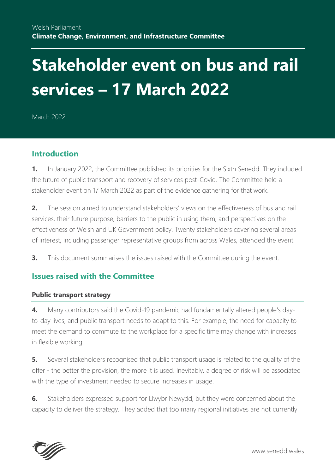# **Stakeholder event on bus and rail services – 17 March 2022**

March 2022

## **Introduction**

**1.** In January 2022, the Committee published its priorities for the Sixth Senedd. They included the future of public transport and recovery of services post-Covid. The Committee held a stakeholder event on 17 March 2022 as part of the evidence gathering for that work.

**2.** The session aimed to understand stakeholders' views on the effectiveness of bus and rail services, their future purpose, barriers to the public in using them, and perspectives on the effectiveness of Welsh and UK Government policy. Twenty stakeholders covering several areas of interest, including passenger representative groups from across Wales, attended the event.

**3.** This document summarises the issues raised with the Committee during the event.

# **Issues raised with the Committee**

#### **Public transport strategy**

**4.** Many contributors said the Covid-19 pandemic had fundamentally altered people's dayto-day lives, and public transport needs to adapt to this. For example, the need for capacity to meet the demand to commute to the workplace for a specific time may change with increases in flexible working.

**5.** Several stakeholders recognised that public transport usage is related to the quality of the offer - the better the provision, the more it is used. Inevitably, a degree of risk will be associated with the type of investment needed to secure increases in usage.

**6.** Stakeholders expressed support for Llwybr Newydd, but they were concerned about the capacity to deliver the strategy. They added that too many regional initiatives are not currently

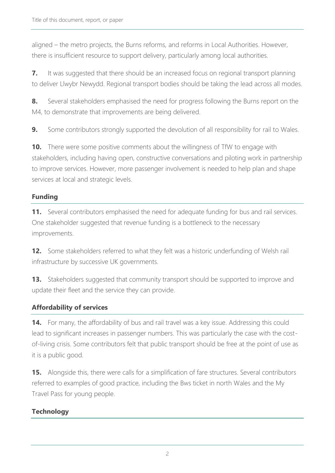aligned – the metro projects, the Burns reforms, and reforms in Local Authorities. However, there is insufficient resource to support delivery, particularly among local authorities.

**7.** It was suggested that there should be an increased focus on regional transport planning to deliver Llwybr Newydd. Regional transport bodies should be taking the lead across all modes.

**8.** Several stakeholders emphasised the need for progress following the Burns report on the M4, to demonstrate that improvements are being delivered.

**9.** Some contributors strongly supported the devolution of all responsibility for rail to Wales.

**10.** There were some positive comments about the willingness of TfW to engage with stakeholders, including having open, constructive conversations and piloting work in partnership to improve services. However, more passenger involvement is needed to help plan and shape services at local and strategic levels.

## **Funding**

**11.** Several contributors emphasised the need for adequate funding for bus and rail services. One stakeholder suggested that revenue funding is a bottleneck to the necessary improvements.

**12.** Some stakeholders referred to what they felt was a historic underfunding of Welsh rail infrastructure by successive UK governments.

**13.** Stakeholders suggested that community transport should be supported to improve and update their fleet and the service they can provide.

## **Affordability of services**

**14.** For many, the affordability of bus and rail travel was a key issue. Addressing this could lead to significant increases in passenger numbers. This was particularly the case with the costof-living crisis. Some contributors felt that public transport should be free at the point of use as it is a public good.

**15.** Alongside this, there were calls for a simplification of fare structures. Several contributors referred to examples of good practice, including the Bws ticket in north Wales and the My Travel Pass for young people.

## **Technology**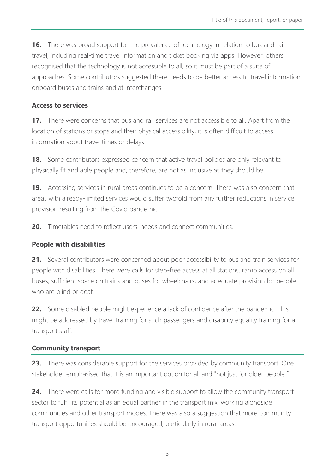**16.** There was broad support for the prevalence of technology in relation to bus and rail travel, including real-time travel information and ticket booking via apps. However, others recognised that the technology is not accessible to all, so it must be part of a suite of approaches. Some contributors suggested there needs to be better access to travel information onboard buses and trains and at interchanges.

#### **Access to services**

**17.** There were concerns that bus and rail services are not accessible to all. Apart from the location of stations or stops and their physical accessibility, it is often difficult to access information about travel times or delays.

**18.** Some contributors expressed concern that active travel policies are only relevant to physically fit and able people and, therefore, are not as inclusive as they should be.

**19.** Accessing services in rural areas continues to be a concern. There was also concern that areas with already-limited services would suffer twofold from any further reductions in service provision resulting from the Covid pandemic.

**20.** Timetables need to reflect users' needs and connect communities.

#### **People with disabilities**

**21.** Several contributors were concerned about poor accessibility to bus and train services for people with disabilities. There were calls for step-free access at all stations, ramp access on all buses, sufficient space on trains and buses for wheelchairs, and adequate provision for people who are blind or deaf.

**22.** Some disabled people might experience a lack of confidence after the pandemic. This might be addressed by travel training for such passengers and disability equality training for all transport staff.

#### **Community transport**

**23.** There was considerable support for the services provided by community transport. One stakeholder emphasised that it is an important option for all and "not just for older people."

**24.** There were calls for more funding and visible support to allow the community transport sector to fulfil its potential as an equal partner in the transport mix, working alongside communities and other transport modes. There was also a suggestion that more community transport opportunities should be encouraged, particularly in rural areas.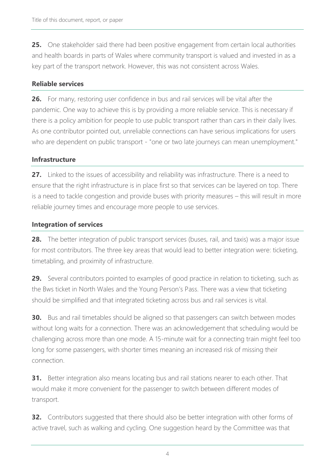**25.** One stakeholder said there had been positive engagement from certain local authorities and health boards in parts of Wales where community transport is valued and invested in as a key part of the transport network. However, this was not consistent across Wales.

#### **Reliable services**

**26.** For many, restoring user confidence in bus and rail services will be vital after the pandemic. One way to achieve this is by providing a more reliable service. This is necessary if there is a policy ambition for people to use public transport rather than cars in their daily lives. As one contributor pointed out, unreliable connections can have serious implications for users who are dependent on public transport - "one or two late journeys can mean unemployment."

#### **Infrastructure**

**27.** Linked to the issues of accessibility and reliability was infrastructure. There is a need to ensure that the right infrastructure is in place first so that services can be layered on top. There is a need to tackle congestion and provide buses with priority measures – this will result in more reliable journey times and encourage more people to use services.

#### **Integration of services**

**28.** The better integration of public transport services (buses, rail, and taxis) was a major issue for most contributors. The three key areas that would lead to better integration were: ticketing, timetabling, and proximity of infrastructure.

**29.** Several contributors pointed to examples of good practice in relation to ticketing, such as the Bws ticket in North Wales and the Young Person's Pass. There was a view that ticketing should be simplified and that integrated ticketing across bus and rail services is vital.

**30.** Bus and rail timetables should be aligned so that passengers can switch between modes without long waits for a connection. There was an acknowledgement that scheduling would be challenging across more than one mode. A 15-minute wait for a connecting train might feel too long for some passengers, with shorter times meaning an increased risk of missing their connection.

**31.** Better integration also means locating bus and rail stations nearer to each other. That would make it more convenient for the passenger to switch between different modes of transport.

**32.** Contributors suggested that there should also be better integration with other forms of active travel, such as walking and cycling. One suggestion heard by the Committee was that